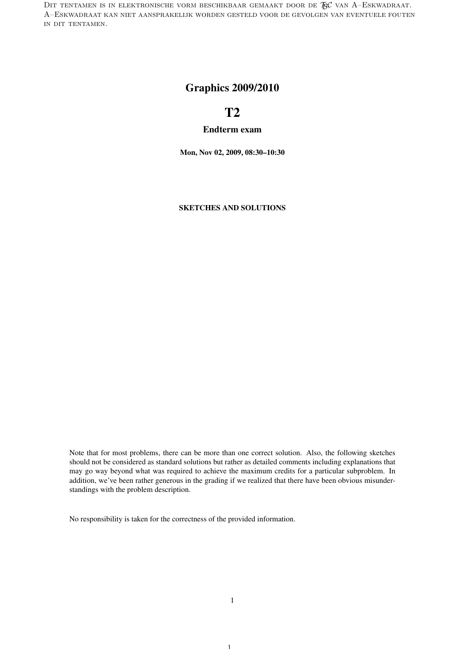DIT TENTAMEN IS IN ELEKTRONISCHE VORM BESCHIKBAAR GEMAAKT DOOR DE  $\mathcal{R}$ C van A–Eskwadraat. A–Eskwadraat kan niet aansprakelijk worden gesteld voor de gevolgen van eventuele fouten in dit tentamen.

## Graphics 2009/2010

# T2

#### Endterm exam

Mon, Nov 02, 2009, 08:30–10:30

SKETCHES AND SOLUTIONS

Note that for most problems, there can be more than one correct solution. Also, the following sketches should not be considered as standard solutions but rather as detailed comments including explanations that may go way beyond what was required to achieve the maximum credits for a particular subproblem. In addition, we've been rather generous in the grading if we realized that there have been obvious misunderstandings with the problem description.

No responsibility is taken for the correctness of the provided information.

1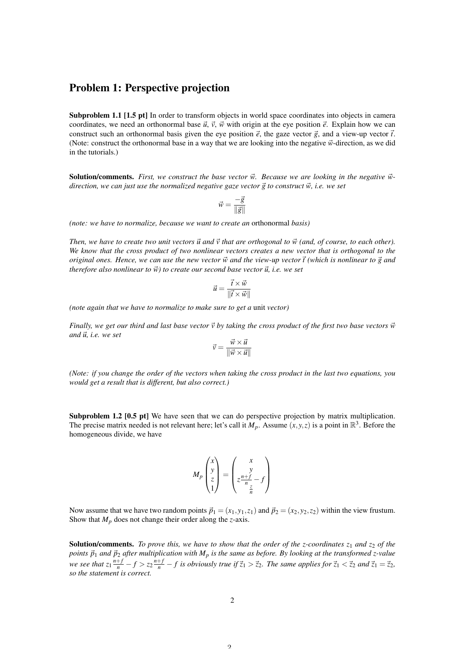#### Problem 1: Perspective projection

Subproblem 1.1 [1.5 pt] In order to transform objects in world space coordinates into objects in camera coordinates, we need an orthonormal base  $\vec{u}$ ,  $\vec{v}$ ,  $\vec{w}$  with origin at the eye position  $\vec{e}$ . Explain how we can construct such an orthonormal basis given the eye position  $\vec{e}$ , the gaze vector  $\vec{g}$ , and a view-up vector  $\vec{t}$ . (Note: construct the orthonormal base in a way that we are looking into the negative  $\vec{w}$ -direction, as we did in the tutorials.)

**Solution/comments.** First, we construct the base vector  $\vec{w}$ . Because we are looking in the negative  $\vec{w}$ *direction, we can just use the normalized negative gaze vector*  $\vec{g}$  to construct  $\vec{w}$ , *i.e. we set* 

$$
\vec{w} = \frac{-\vec{g}}{\|\vec{g}\|}
$$

*(note: we have to normalize, because we want to create an* orthonormal *basis)*

*Then, we have to create two unit vectors*  $\vec{u}$  and  $\vec{v}$  that are orthogonal to  $\vec{w}$  (and, of course, to each other). *We know that the cross product of two nonlinear vectors creates a new vector that is orthogonal to the original ones. Hence, we can use the new vector*  $\vec{w}$  and the view-up vector  $\vec{t}$  (which is nonlinear to  $\vec{g}$  and  $therefore$  also nonlinear to  $\vec{w}$ ) to create our second base vector  $\vec{u}$ , *i.e.* we set

$$
\vec{u} = \frac{\vec{t} \times \vec{w}}{\|\vec{t} \times \vec{w}\|}
$$

*(note again that we have to normalize to make sure to get a* unit *vector)*

*Finally, we get our third and last base vector*  $\vec{v}$  *by taking the cross product of the first two base vectors*  $\vec{w}$  $and \overrightarrow{u}$ *, i.e.* we set

$$
\vec{v} = \frac{\vec{w} \times \vec{u}}{\|\vec{w} \times \vec{u}\|}
$$

*(Note: if you change the order of the vectors when taking the cross product in the last two equations, you would get a result that is different, but also correct.)*

Subproblem 1.2 [0.5 pt] We have seen that we can do perspective projection by matrix multiplication. The precise matrix needed is not relevant here; let's call it  $M_p$ . Assume  $(x, y, z)$  is a point in  $\mathbb{R}^3$ . Before the homogeneous divide, we have

$$
M_p \begin{pmatrix} x \\ y \\ z \\ 1 \end{pmatrix} = \begin{pmatrix} x \\ y \\ z \frac{n+f}{n} - f \\ \frac{z}{n} \end{pmatrix}
$$

Now assume that we have two random points  $\vec{p}_1 = (x_1, y_1, z_1)$  and  $\vec{p}_2 = (x_2, y_2, z_2)$  within the view frustum. Show that *M<sup>p</sup>* does not change their order along the *z*-axis.

**Solution/comments.** *To prove this, we have to show that the order of the z-coordinates z<sub>1</sub> and z<sub>2</sub> <i>of the points*  $\vec{p}_1$  *and*  $\vec{p}_2$  *after multiplication with*  $M_p$  *is the same as before. By looking at the transformed z-value* we see that  $z_1 \frac{n+f}{n} - f > z_2 \frac{n+f}{n} - f$  is obviously true if  $\vec{z}_1 > \vec{z}_2$ . The same applies for  $\vec{z}_1 < \vec{z}_2$  and  $\vec{z}_1 = \vec{z}_2$ , *so the statement is correct.*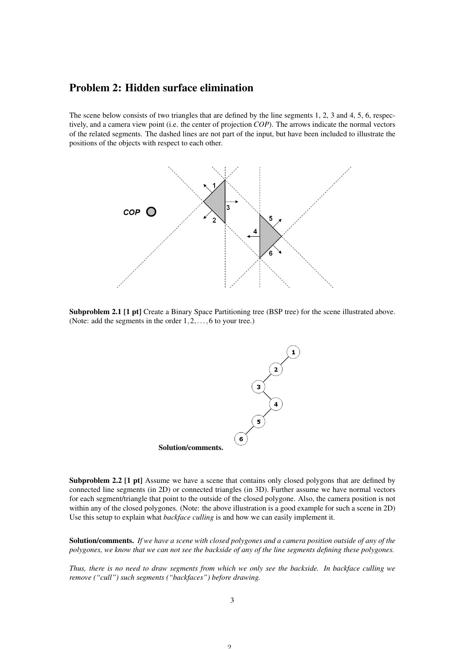#### Problem 2: Hidden surface elimination

The scene below consists of two triangles that are defined by the line segments 1, 2, 3 and 4, 5, 6, respectively, and a camera view point (i.e. the center of projection *COP*). The arrows indicate the normal vectors of the related segments. The dashed lines are not part of the input, but have been included to illustrate the positions of the objects with respect to each other.



Subproblem 2.1 [1 pt] Create a Binary Space Partitioning tree (BSP tree) for the scene illustrated above. (Note: add the segments in the order  $1, 2, \ldots, 6$  to your tree.)



Subproblem 2.2 [1 pt] Assume we have a scene that contains only closed polygons that are defined by connected line segments (in 2D) or connected triangles (in 3D). Further assume we have normal vectors for each segment/triangle that point to the outside of the closed polygone. Also, the camera position is not within any of the closed polygones. (Note: the above illustration is a good example for such a scene in 2D) Use this setup to explain what *backface culling* is and how we can easily implement it.

Solution/comments. *If we have a scene with closed polygones and a camera position outside of any of the polygones, we know that we can not see the backside of any of the line segments defining these polygones.*

*Thus, there is no need to draw segments from which we only see the backside. In backface culling we remove ("cull") such segments ("backfaces") before drawing.*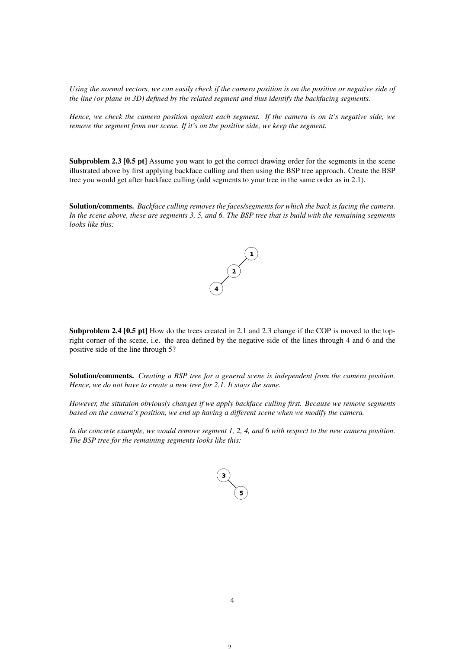*Using the normal vectors, we can easily check if the camera position is on the positive or negative side of the line (or plane in 3D) defined by the related segment and thus identify the backfacing segments.*

*Hence, we check the camera position against each segment. If the camera is on it's negative side, we remove the segment from our scene. If it's on the positive side, we keep the segment.*

Subproblem 2.3 [0.5 pt] Assume you want to get the correct drawing order for the segments in the scene illustrated above by first applying backface culling and then using the BSP tree approach. Create the BSP tree you would get after backface culling (add segments to your tree in the same order as in 2.1).

Solution/comments. *Backface culling removes the faces/segments for which the back is facing the camera. In the scene above, these are segments 3, 5, and 6. The BSP tree that is build with the remaining segments looks like this:*



Subproblem 2.4 [0.5 pt] How do the trees created in 2.1 and 2.3 change if the COP is moved to the topright corner of the scene, i.e. the area defined by the negative side of the lines through 4 and 6 and the positive side of the line through 5?

Solution/comments. *Creating a BSP tree for a general scene is independent from the camera position. Hence, we do not have to create a new tree for 2.1. It stays the same.*

*However, the situtaion obviously changes if we apply backface culling first. Because we remove segments based on the camera's position, we end up having a different scene when we modify the camera.*

*In the concrete example, we would remove segment 1, 2, 4, and 6 with respect to the new camera position. The BSP tree for the remaining segments looks like this:*

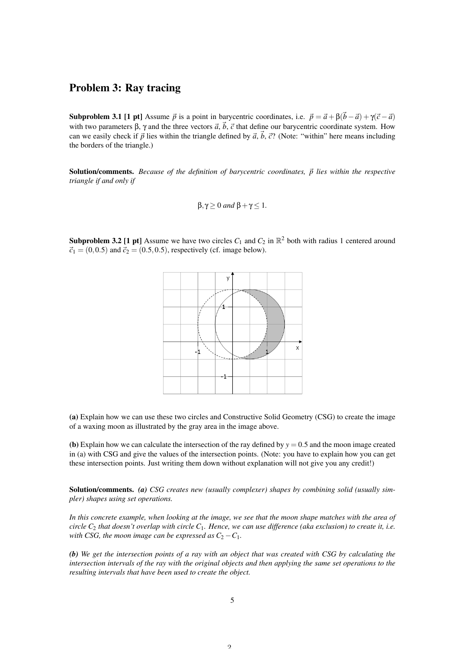## Problem 3: Ray tracing

**Subproblem 3.1 [1 pt]** Assume  $\vec{p}$  is a point in barycentric coordinates, i.e.  $\vec{p} = \vec{a} + \beta(\vec{b} - \vec{a}) + \gamma(\vec{c} - \vec{a})$ with two parameters  $\beta$ ,  $\gamma$  and the three vectors  $\vec{a}$ ,  $\vec{b}$ ,  $\vec{c}$  that define our barycentric coordinate system. How can we easily check if  $\vec{p}$  lies within the triangle defined by  $\vec{a}$ ,  $\vec{b}$ ,  $\vec{c}$ ? (Note: "within" here means including the borders of the triangle.)

**Solution/comments.** *Because of the definition of barycentric coordinates,*  $\vec{p}$  *lies within the respective triangle if and only if*

$$
\beta,\gamma\geq 0 \text{ and } \beta+\gamma\leq 1.
$$

**Subproblem 3.2 [1 pt]** Assume we have two circles  $C_1$  and  $C_2$  in  $\mathbb{R}^2$  both with radius 1 centered around  $\vec{c}_1 = (0, 0.5)$  and  $\vec{c}_2 = (0.5, 0.5)$ , respectively (cf. image below).



(a) Explain how we can use these two circles and Constructive Solid Geometry (CSG) to create the image of a waxing moon as illustrated by the gray area in the image above.

(b) Explain how we can calculate the intersection of the ray defined by  $y = 0.5$  and the moon image created in (a) with CSG and give the values of the intersection points. (Note: you have to explain how you can get these intersection points. Just writing them down without explanation will not give you any credit!)

Solution/comments. *(a) CSG creates new (usually complexer) shapes by combining solid (usually simpler) shapes using set operations.*

*In this concrete example, when looking at the image, we see that the moon shape matches with the area of circle C*<sup>2</sup> *that doesn't overlap with circle C*1*. Hence, we can use difference (aka exclusion) to create it, i.e. with CSG, the moon image can be expressed as*  $C_2 - C_1$ *.* 

*(b) We get the intersection points of a ray with an object that was created with CSG by calculating the intersection intervals of the ray with the original objects and then applying the same set operations to the resulting intervals that have been used to create the object.*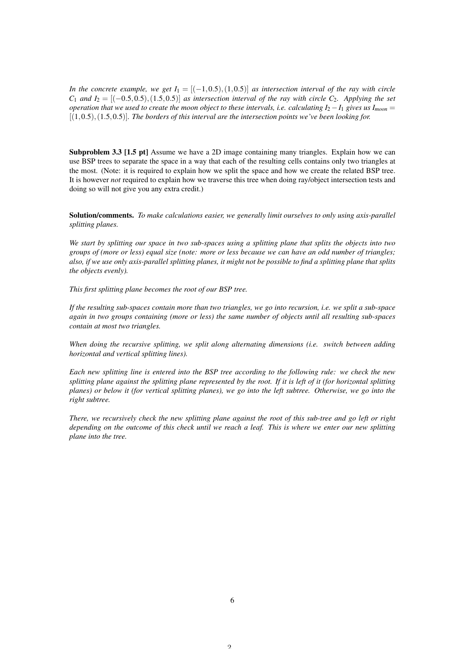*In the concrete example, we get*  $I_1 = [(-1, 0.5), (1, 0.5)]$  *as intersection interval of the ray with circle C*<sub>1</sub> *and*  $I_2 = \{(-0.5, 0.5), (1.5, 0.5) \}$  *as intersection interval of the ray with circle C*<sub>2</sub>*. Applying the set operation that we used to create the moon object to these intervals, i.e. calculating*  $I_2 - I_1$  *gives us*  $I_{moon} =$ [(1,0.5),(1.5,0.5)]*. The borders of this interval are the intersection points we've been looking for.*

Subproblem 3.3 [1.5 pt] Assume we have a 2D image containing many triangles. Explain how we can use BSP trees to separate the space in a way that each of the resulting cells contains only two triangles at the most. (Note: it is required to explain how we split the space and how we create the related BSP tree. It is however *not* required to explain how we traverse this tree when doing ray/object intersection tests and doing so will not give you any extra credit.)

Solution/comments. *To make calculations easier, we generally limit ourselves to only using axis-parallel splitting planes.*

*We start by splitting our space in two sub-spaces using a splitting plane that splits the objects into two groups of (more or less) equal size (note: more or less because we can have an odd number of triangles; also, if we use only axis-parallel splitting planes, it might not be possible to find a splitting plane that splits the objects evenly).*

*This first splitting plane becomes the root of our BSP tree.*

*If the resulting sub-spaces contain more than two triangles, we go into recursion, i.e. we split a sub-space again in two groups containing (more or less) the same number of objects until all resulting sub-spaces contain at most two triangles.*

*When doing the recursive splitting, we split along alternating dimensions (i.e. switch between adding horizontal and vertical splitting lines).*

*Each new splitting line is entered into the BSP tree according to the following rule: we check the new splitting plane against the splitting plane represented by the root. If it is left of it (for horizontal splitting planes) or below it (for vertical splitting planes), we go into the left subtree. Otherwise, we go into the right subtree.*

*There, we recursively check the new splitting plane against the root of this sub-tree and go left or right depending on the outcome of this check until we reach a leaf. This is where we enter our new splitting plane into the tree.*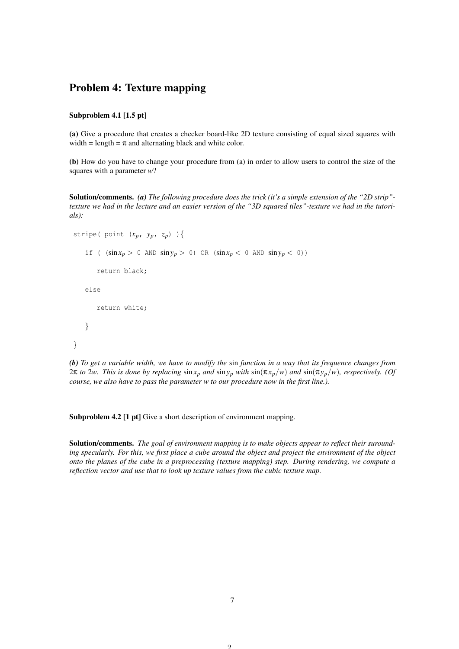### Problem 4: Texture mapping

#### Subproblem 4.1 [1.5 pt]

(a) Give a procedure that creates a checker board-like 2D texture consisting of equal sized squares with width = length =  $\pi$  and alternating black and white color.

(b) How do you have to change your procedure from (a) in order to allow users to control the size of the squares with a parameter *w*?

Solution/comments. *(a) The following procedure does the trick (it's a simple extension of the "2D strip" texture we had in the lecture and an easier version of the "3D squared tiles"-texture we had in the tutorials):*

```
stripe( point (x_p, y_p, z_p) ){
    if ( (\sin x_p > 0 \text{ AND } \sin y_p > 0) \text{ OR } (\sin x_p < 0 \text{ AND } \sin y_p < 0))
        return black;
    else
        return white;
    }
}
```
*(b) To get a variable width, we have to modify the* sin *function in a way that its frequence changes from* 2π *to* 2*w. This is done by replacing* sin*x<sup>p</sup> and* sin*y<sup>p</sup> with* sin(π*xp*/*w*) *and* sin(π*yp*/*w*)*, respectively. (Of course, we also have to pass the parameter w to our procedure now in the first line.).*

Subproblem 4.2 [1 pt] Give a short description of environment mapping.

Solution/comments. *The goal of environment mapping is to make objects appear to reflect their surounding specularly. For this, we first place a cube around the object and project the environment of the object onto the planes of the cube in a preprocessing (texture mapping) step. During rendering, we compute a reflection vector and use that to look up texture values from the cubic texture map.*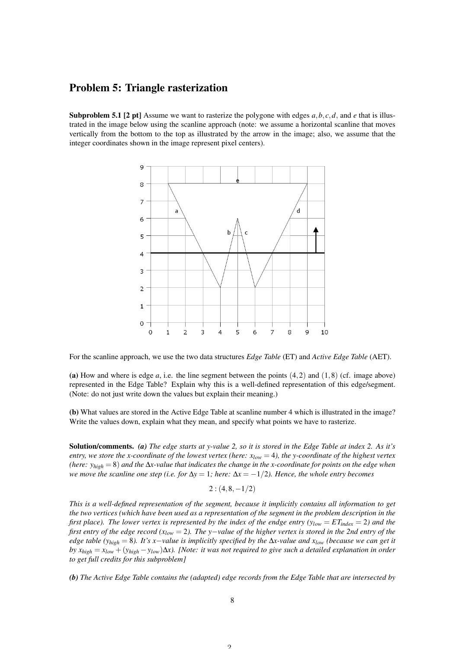#### Problem 5: Triangle rasterization

**Subproblem 5.1 [2 pt]** Assume we want to rasterize the polygone with edges  $a, b, c, d$ , and *e* that is illustrated in the image below using the scanline approach (note: we assume a horizontal scanline that moves vertically from the bottom to the top as illustrated by the arrow in the image; also, we assume that the integer coordinates shown in the image represent pixel centers).



For the scanline approach, we use the two data structures *Edge Table* (ET) and *Active Edge Table* (AET).

(a) How and where is edge  $a$ , i.e. the line segment between the points  $(4,2)$  and  $(1,8)$  (cf. image above) represented in the Edge Table? Explain why this is a well-defined representation of this edge/segment. (Note: do not just write down the values but explain their meaning.)

(b) What values are stored in the Active Edge Table at scanline number 4 which is illustrated in the image? Write the values down, explain what they mean, and specify what points we have to rasterize.

Solution/comments. *(a) The edge starts at y-value 2, so it is stored in the Edge Table at index 2. As it's entry, we store the x-coordinate of the lowest vertex (here: xlow* = 4*), the y-coordinate of the highest vertex (here: yhigh* = 8) *and the* ∆*x-value that indicates the change in the x-coordinate for points on the edge when we move the scanline one step (i.e. for*  $\Delta y = 1$ *; here:*  $\Delta x = -1/2$ *). Hence, the whole entry becomes* 

 $2$  :  $(4, 8, -1/2)$ 

*This is a well-defined representation of the segment, because it implicitly contains all information to get the two vertices (which have been used as a representation of the segment in the problem description in the first place). The lower vertex is represented by the index of the endge entry*  $(y_{low} = ET_{index} = 2)$  *and the first entry of the edge record (xlow* = 2*). The y*−*value of the higher vertex is stored in the 2nd entry of the edge table (yhigh* = 8*). It's x*−*value is implicitly specified by the* ∆*x-value and xlow (because we can get it by xhigh* = *xlow* + (*yhigh* −*ylow*)∆*x). [Note: it was not required to give such a detailed explanation in order to get full credits for this subproblem]*

*(b) The Active Edge Table contains the (adapted) edge records from the Edge Table that are intersected by*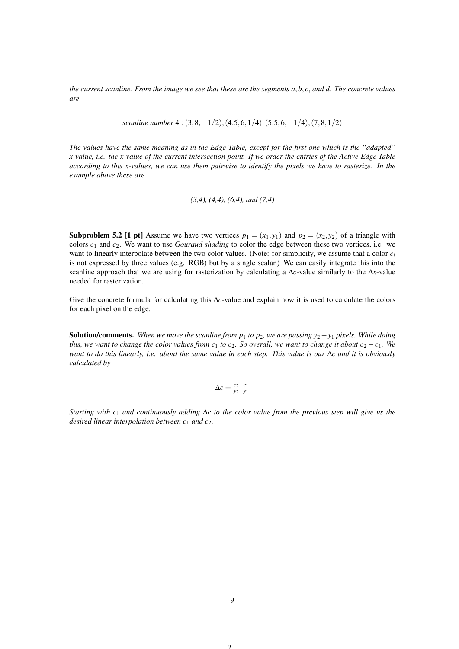*the current scanline. From the image we see that these are the segments a, b, c, and d. The concrete values are*

*scanline number* 4 : (3,8,−1/2),(4.5,6,1/4),(5.5,6,−1/4),(7,8,1/2)

*The values have the same meaning as in the Edge Table, except for the first one which is the "adapted" x-value, i.e. the x-value of the current intersection point. If we order the entries of the Active Edge Table according to this x-values, we can use them pairwise to identify the pixels we have to rasterize. In the example above these are*

$$
(3,4)
$$
,  $(4,4)$ ,  $(6,4)$ , and  $(7,4)$ 

**Subproblem 5.2 [1 pt]** Assume we have two vertices  $p_1 = (x_1, y_1)$  and  $p_2 = (x_2, y_2)$  of a triangle with colors *c*<sup>1</sup> and *c*2. We want to use *Gouraud shading* to color the edge between these two vertices, i.e. we want to linearly interpolate between the two color values. (Note: for simplicity, we assume that a color *c<sup>i</sup>* is not expressed by three values (e.g. RGB) but by a single scalar.) We can easily integrate this into the scanline approach that we are using for rasterization by calculating a ∆*c*-value similarly to the ∆*x*-value needed for rasterization.

Give the concrete formula for calculating this ∆*c*-value and explain how it is used to calculate the colors for each pixel on the edge.

**Solution/comments.** When we move the scanline from  $p_1$  to  $p_2$ , we are passing  $y_2 - y_1$  pixels. While doing *this, we want to change the color values from*  $c_1$  *to*  $c_2$ *. So overall, we want to change it about*  $c_2 - c_1$ *. We want to do this linearly, i.e. about the same value in each step. This value is our* ∆*c and it is obviously calculated by*

$$
\Delta c = \frac{c_2 - c_1}{y_2 - y_1}
$$

*Starting with c*<sup>1</sup> *and continuously adding* ∆*c to the color value from the previous step will give us the desired linear interpolation between c*<sup>1</sup> *and c*2*.*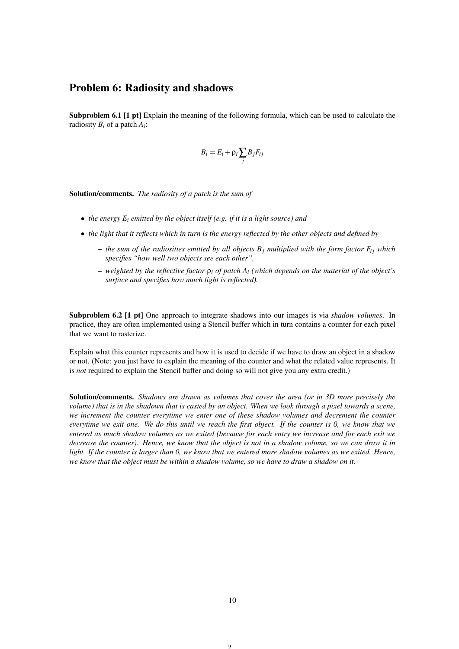#### Problem 6: Radiosity and shadows

Subproblem 6.1 [1 pt] Explain the meaning of the following formula, which can be used to calculate the radiosity *B<sup>i</sup>* of a patch *A<sup>i</sup>* :

$$
B_i = E_i + \rho_i \sum_j B_j F_{ij}
$$

Solution/comments. *The radiosity of a patch is the sum of*

- *the energy E<sup>i</sup> emitted by the object itself (e.g. if it is a light source) and*
- *the light that it reflects which in turn is the energy reflected by the other objects and defined by*
	- $-$  *the sum of the radiosities emitted by all objects*  $B_j$  *multiplied with the form factor*  $F_i$  *which specifies "how well two objects see each other",*
	- *weighted by the reflective factor* ρ*<sup>i</sup> of patch A<sup>i</sup> (which depends on the material of the object's surface and specifies how much light is reflected).*

Subproblem 6.2 [1 pt] One approach to integrate shadows into our images is via *shadow volumes*. In practice, they are often implemented using a Stencil buffer which in turn contains a counter for each pixel that we want to rasterize.

Explain what this counter represents and how it is used to decide if we have to draw an object in a shadow or not. (Note: you just have to explain the meaning of the counter and what the related value represents. It is *not* required to explain the Stencil buffer and doing so will not give you any extra credit.)

Solution/comments. *Shadows are drawn as volumes that cover the area (or in 3D more precisely the volume) that is in the shadown that is casted by an object. When we look through a pixel towards a scene, we increment the counter everytime we enter one of these shadow volumes and decrement the counter everytime we exit one. We do this until we reach the first object. If the counter is 0, we know that we entered as much shadow volumes as we exited (because for each entry we increase and for each exit we decrease the counter). Hence, we know that the object is not in a shadow volume, so we can draw it in light. If the counter is larger than 0, we know that we entered more shadow volumes as we exited. Hence, we know that the object must be within a shadow volume, so we have to draw a shadow on it.*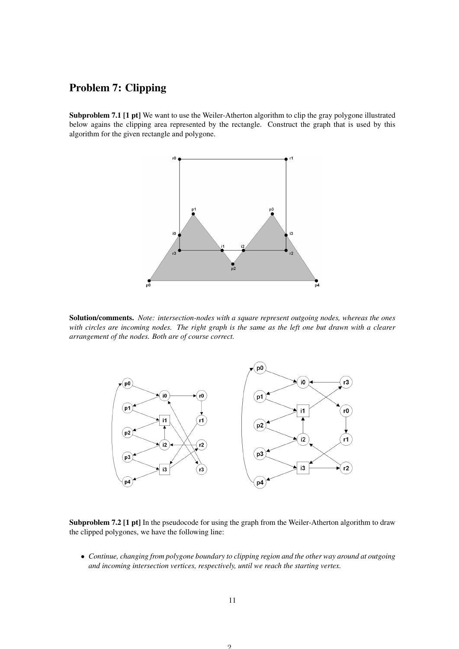# Problem 7: Clipping

Subproblem 7.1 [1 pt] We want to use the Weiler-Atherton algorithm to clip the gray polygone illustrated below agains the clipping area represented by the rectangle. Construct the graph that is used by this algorithm for the given rectangle and polygone.



Solution/comments. *Note: intersection-nodes with a square represent outgoing nodes, whereas the ones with circles are incoming nodes. The right graph is the same as the left one but drawn with a clearer arrangement of the nodes. Both are of course correct.*



Subproblem 7.2 [1 pt] In the pseudocode for using the graph from the Weiler-Atherton algorithm to draw the clipped polygones, we have the following line:

• *Continue, changing from polygone boundary to clipping region and the other way around at outgoing and incoming intersection vertices, respectively, until we reach the starting vertex.*